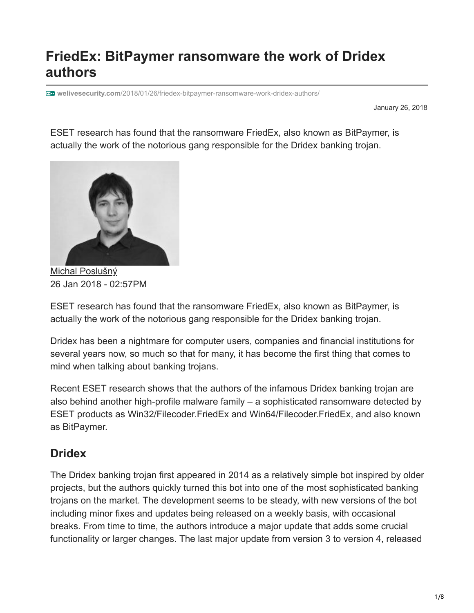# **FriedEx: BitPaymer ransomware the work of Dridex authors**

**welivesecurity.com**[/2018/01/26/friedex-bitpaymer-ransomware-work-dridex-authors/](https://www.welivesecurity.com/2018/01/26/friedex-bitpaymer-ransomware-work-dridex-authors/)

January 26, 2018

ESET research has found that the ransomware FriedEx, also known as BitPaymer, is actually the work of the notorious gang responsible for the Dridex banking trojan.



[Michal Poslušný](https://www.welivesecurity.com/author/mposlusny/) 26 Jan 2018 - 02:57PM

ESET research has found that the ransomware FriedEx, also known as BitPaymer, is actually the work of the notorious gang responsible for the Dridex banking trojan.

Dridex has been a nightmare for computer users, companies and financial institutions for several years now, so much so that for many, it has become the first thing that comes to mind when talking about banking trojans.

Recent ESET research shows that the authors of the infamous Dridex banking trojan are also behind another high-profile malware family – a sophisticated ransomware detected by ESET products as Win32/Filecoder.FriedEx and Win64/Filecoder.FriedEx, and also known as BitPaymer.

#### **Dridex**

The Dridex banking trojan first appeared in 2014 as a relatively simple bot inspired by older projects, but the authors quickly turned this bot into one of the most sophisticated banking trojans on the market. The development seems to be steady, with new versions of the bot including minor fixes and updates being released on a weekly basis, with occasional breaks. From time to time, the authors introduce a major update that adds some crucial functionality or larger changes. The last major update from version 3 to version 4, released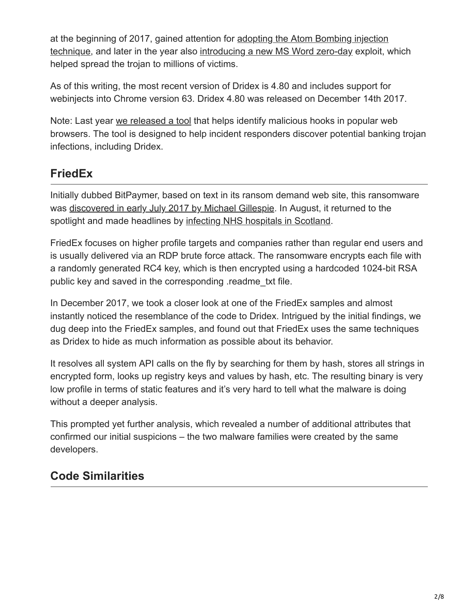at the beginning of 2017, gained attention for adopting the Atom Bombing injection [technique, and later in the year also introducing a new MS Word zero-day exploit, w](https://thehackernews.com/2017/03/dridex-atombombing-malware.html)hich helped spread the trojan to millions of victims.

As of this writing, the most recent version of Dridex is 4.80 and includes support for webinjects into Chrome version 63. Dridex 4.80 was released on December 14th 2017.

Note: Last year [we released a tool](https://github.com/eset/volatility-browserhooks) that helps identify malicious hooks in popular web browsers. The tool is designed to help incident responders discover potential banking trojan infections, including Dridex.

## **FriedEx**

Initially dubbed BitPaymer, based on text in its ransom demand web site, this ransomware was [discovered in early July 2017 by Michael Gillespie.](https://twitter.com/demonslay335/status/884545841691844608) In August, it returned to the spotlight and made headlines by [infecting NHS hospitals in Scotland.](https://www.bleepingcomputer.com/news/security/bit-paymer-ransomware-hits-scottish-hospitals/)

FriedEx focuses on higher profile targets and companies rather than regular end users and is usually delivered via an RDP brute force attack. The ransomware encrypts each file with a randomly generated RC4 key, which is then encrypted using a hardcoded 1024-bit RSA public key and saved in the corresponding .readme\_txt file.

In December 2017, we took a closer look at one of the FriedEx samples and almost instantly noticed the resemblance of the code to Dridex. Intrigued by the initial findings, we dug deep into the FriedEx samples, and found out that FriedEx uses the same techniques as Dridex to hide as much information as possible about its behavior.

It resolves all system API calls on the fly by searching for them by hash, stores all strings in encrypted form, looks up registry keys and values by hash, etc. The resulting binary is very low profile in terms of static features and it's very hard to tell what the malware is doing without a deeper analysis.

This prompted yet further analysis, which revealed a number of additional attributes that confirmed our initial suspicions – the two malware families were created by the same developers.

## **Code Similarities**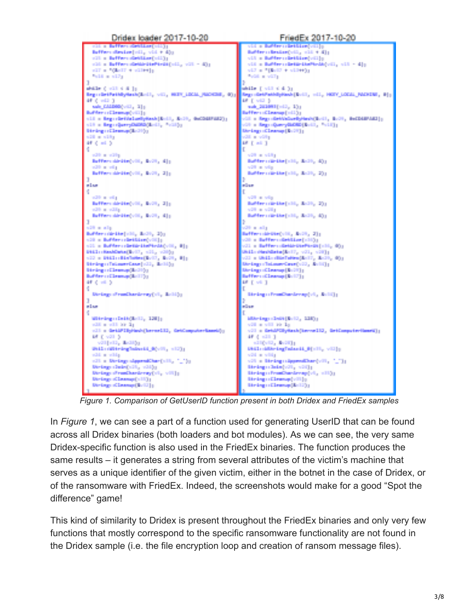

*Figure 1. Comparison of GetUserID function present in both Dridex and FriedEx samples*

In *Figure 1*, we can see a part of a function used for generating UserID that can be found across all Dridex binaries (both loaders and bot modules). As we can see, the very same Dridex-specific function is also used in the FriedEx binaries. The function produces the same results – it generates a string from several attributes of the victim's machine that serves as a unique identifier of the given victim, either in the botnet in the case of Dridex, or of the ransomware with FriedEx. Indeed, the screenshots would make for a good "Spot the difference" game!

This kind of similarity to Dridex is present throughout the FriedEx binaries and only very few functions that mostly correspond to the specific ransomware functionality are not found in the Dridex sample (i.e. the file encryption loop and creation of ransom message files).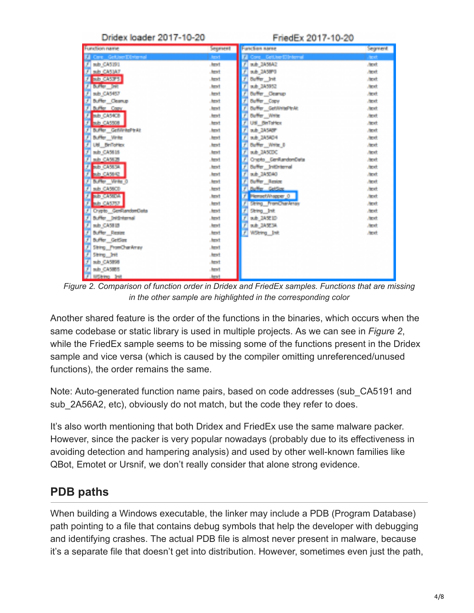| Dridex loader 2017-10-20        |                | FriedEx 2017-10-20                 |                |
|---------------------------------|----------------|------------------------------------|----------------|
| <b>Function name</b>            | Segment        | <b>Function same</b>               | Segment        |
| <b>El Garc GettherDinternal</b> | <b>Ameri</b>   | <b>El Cosa Geli berl'illohamal</b> | first.         |
| Ŧ<br>sub. 045.191               | <b>Arrest</b>  | p.b. 245542                        | <b>Britt</b>   |
| Т<br>sub CASIAT                 | <b>Albert</b>  | Ŧ<br>p.b. 345870                   | <b>Band</b>    |
| Ŧ<br><b>RUE CASTS</b>           | <b>Alberta</b> | <b>Duffer, Jeff</b>                | <b>Grant</b>   |
| <b>Bulletin Mark</b><br>т       | <b>Albert</b>  | p.b. 245952                        | <b>State</b>   |
| T<br>sub CASES?                 | <b>Albert</b>  | Suffer Change                      | <b>Start</b>   |
| y<br><b>Buffer</b> Cleanup      | <b>Albert</b>  | <b>Suffer Cove</b>                 | <b>Boxt</b>    |
| Т<br>Buffer Copy                | <b>Albert</b>  | Buffer GetWingPest                 | <b>Brack</b>   |
| Ŧ<br><b>AUG CASTER</b>          | <b>Alberta</b> | <b>Buffer, Willie</b>              | <b>State</b>   |
| Ŧ<br><b>N.D. CA5508</b>         | <b>Alleged</b> | Util BinTatton                     | <b>State</b>   |
| Buffer GetVintePtrAt<br>Ŧ       | <b>Alleged</b> | Ŧ<br>p.b. 34540°                   | <b>State</b>   |
| Buffer, Virile                  | <b>Albert</b>  | ■ 本 347年7月                         | <b>Service</b> |
| 7<br>Util Britishian            | <b>Albert</b>  | Daffer, Write B                    | <b>Boot</b>    |
| Ţ<br>sub CASHS                  | and .          | p.b. 245000                        | <b>Band</b>    |
| T<br>sub CASES                  | الحالب         | Crapto GerillandonData             | <b>Start</b>   |
| <b>REFERENCE</b><br>Ŧ           | <b>Albert</b>  | <b>Buffer</b> Initiaterral         | <b>State</b>   |
| T<br>ab C45642                  | <b>Arrest</b>  | p.b. 345040                        | <b>Service</b> |
| Buffer, Write 0<br>F            | <b>Arror</b>   | Ŧ<br><b>Buffer</b> Resist          | <b>Street</b>  |
| Ţ<br>sub. GA59CO                | <b>Albert</b>  | Ŧ<br>Buffer GetSex                 | <b>Brack</b>   |
| F<br><b>BUSINESS OF</b>         | الحاف          | r<br><b>Remedicinesser</b> , O     | <b>Stand</b>   |
| T<br><b>AUGUST</b>              | الحالب         | <b>Shing PromChankerse</b>         | <b>Sept.</b>   |
| Crypto GenRandomData<br>Ŧ       | <b>ABO</b>     | Shing Int                          | <b>State</b>   |
| biffer, Intimiernal<br>۰        | <b>Albert</b>  | 16 時間間                             | <b>Booth</b>   |
| ads 045815                      | <b>Albert</b>  | 10.0 动变弹                           | <b>Britt</b>   |
| F<br><b>Buffer</b> Rester       | <b>Alberta</b> | Ŧ<br>WString Int                   | <b>Janet</b>   |
| F<br><b>Buffer</b> GetSmo       | <b>Albert</b>  |                                    |                |
| String PromCharAmay             | <b>STATE</b>   |                                    |                |
| y.<br>String Drill              | <b>Allege</b>  |                                    |                |
| sub. CA 5998                    | <b>April</b>   |                                    |                |
| F<br>ads CASES                  | <b>Albert</b>  |                                    |                |
| V<br><b>MSking Juli</b>         | <b>Just</b>    |                                    |                |

*Figure 2. Comparison of function order in Dridex and FriedEx samples. Functions that are missing in the other sample are highlighted in the corresponding color*

Another shared feature is the order of the functions in the binaries, which occurs when the same codebase or static library is used in multiple projects. As we can see in *Figure 2*, while the FriedEx sample seems to be missing some of the functions present in the Dridex sample and vice versa (which is caused by the compiler omitting unreferenced/unused functions), the order remains the same.

Note: Auto-generated function name pairs, based on code addresses (sub\_CA5191 and sub 2A56A2, etc), obviously do not match, but the code they refer to does.

It's also worth mentioning that both Dridex and FriedEx use the same malware packer. However, since the packer is very popular nowadays (probably due to its effectiveness in avoiding detection and hampering analysis) and used by other well-known families like QBot, Emotet or Ursnif, we don't really consider that alone strong evidence.

### **PDB paths**

When building a Windows executable, the linker may include a PDB (Program Database) path pointing to a file that contains debug symbols that help the developer with debugging and identifying crashes. The actual PDB file is almost never present in malware, because it's a separate file that doesn't get into distribution. However, sometimes even just the path,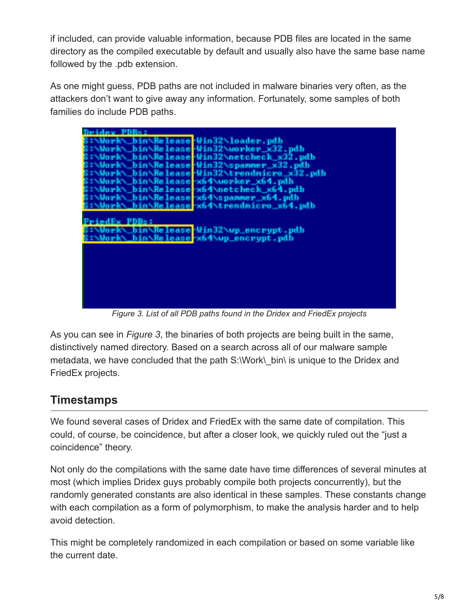if included, can provide valuable information, because PDB files are located in the same directory as the compiled executable by default and usually also have the same base name followed by the .pdb extension.

As one might guess, PDB paths are not included in malware binaries very often, as the attackers don't want to give away any information. Fortunately, some samples of both families do include PDB paths.

| ВВИВА В                                                     |
|-------------------------------------------------------------|
| Work\_bin\Release-Win32\loader.pdb                          |
| S:\Work\ bin\Release-Win32\worker_x32.pdb                   |
| S:\Work\_bin\Release <mark>-Win32\netcheck_x32.pdb</mark>   |
| S:\Work\_bin\Release-Win32\spanner_x32.pdb                  |
| S:\Work\_bin\Release <mark>-Win32\trendnicro_x32.pdb</mark> |
| 8: \Work\_bin\Release-x64\uorker_x64.pdb                    |
| S:\Work\_bin\Release-x64\netcheck_x64.pdb                   |
| S:\Work\_bin\Nelease-x64\spammer_x64.pdb                    |
| S:\Work\_bin\Release-x64\trendmicro_x64.pdb                 |
|                                                             |
| FriedEx PDBs:                                               |
| S:\Work\_bin\Nelease-Win32\wp_encrypt.pdb                   |
| S:\Work\_bin\Release-x64\up_encrypt.pdb                     |
|                                                             |
|                                                             |
|                                                             |
|                                                             |
|                                                             |
|                                                             |
|                                                             |
|                                                             |
|                                                             |

*Figure 3. List of all PDB paths found in the Dridex and FriedEx projects*

As you can see in *Figure 3*, the binaries of both projects are being built in the same, distinctively named directory. Based on a search across all of our malware sample metadata, we have concluded that the path S:\Work\ bin\ is unique to the Dridex and FriedEx projects.

#### **Timestamps**

We found several cases of Dridex and FriedEx with the same date of compilation. This could, of course, be coincidence, but after a closer look, we quickly ruled out the "just a coincidence" theory.

Not only do the compilations with the same date have time differences of several minutes at most (which implies Dridex guys probably compile both projects concurrently), but the randomly generated constants are also identical in these samples. These constants change with each compilation as a form of polymorphism, to make the analysis harder and to help avoid detection.

This might be completely randomized in each compilation or based on some variable like the current date.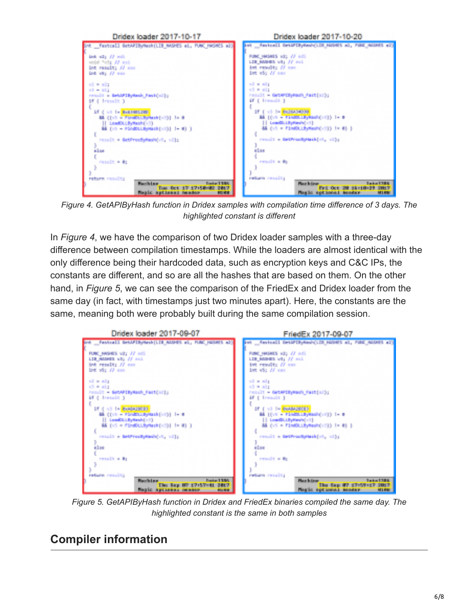

*Figure 4. GetAPIByHash function in Dridex samples with compilation time difference of 3 days. The highlighted constant is different*

In *Figure 4*, we have the comparison of two Dridex loader samples with a three-day difference between compilation timestamps. While the loaders are almost identical with the only difference being their hardcoded data, such as encryption keys and C&C IPs, the constants are different, and so are all the hashes that are based on them. On the other hand, in *Figure 5*, we can see the comparison of the FriedEx and Dridex loader from the same day (in fact, with timestamps just two minutes apart). Here, the constants are the same, meaning both were probably built during the same compilation session.



*Figure 5. GetAPIByHash function in Dridex and FriedEx binaries compiled the same day. The highlighted constant is the same in both samples*

### **Compiler information**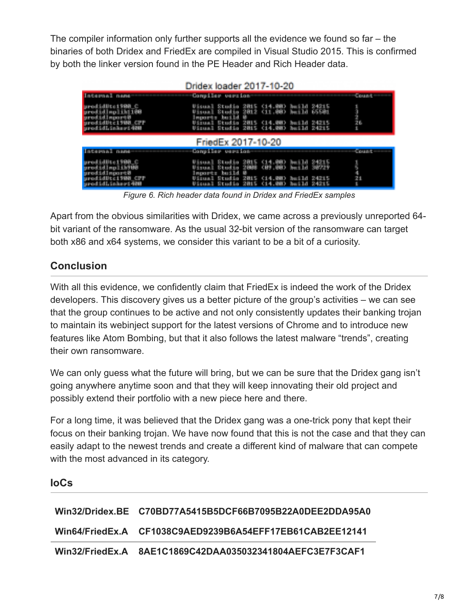The compiler information only further supports all the evidence we found so far – the binaries of both Dridex and FriedEx are compiled in Visual Studio 2015. This is confirmed by both the linker version found in the PE Header and Rich Header data.

| Dridex loader 2017-10-20                                                                       |                                                                                                                                                                                                                              |                 |  |  |
|------------------------------------------------------------------------------------------------|------------------------------------------------------------------------------------------------------------------------------------------------------------------------------------------------------------------------------|-----------------|--|--|
| <b>Lace was</b><br><b>TO BUSINE</b>                                                            | Consiler version                                                                                                                                                                                                             | <b>LIGHTING</b> |  |  |
| <b>Second Little Controller</b><br>prodidingliki188<br>prodidingort@<br><b>Ld Links yd 400</b> | Uisual Studio 2015 (14.00) build 24215<br>Visual Studio 2012 (11,00) heild 65501<br>laporta build<br><b>Direction</b><br><b>BURTHER</b><br><b>CHA</b><br><b>MALLY DIRECT PL</b><br>Uisual Studio 2015 (14.00) haild 24215    | 26.             |  |  |
| FriedEx 2017-10-20                                                                             |                                                                                                                                                                                                                              |                 |  |  |
| <b>Links would</b><br><b>DIAMES</b>                                                            | Congriles vention                                                                                                                                                                                                            | Count           |  |  |
| <b>MURICIPHICS</b><br>prodidinglik988<br>prodid import@<br>id I Sakerd 400                     | Studio 2015 (14.00) haild 24215<br>Studio 2008 (09.00) haild 20727<br><b>TERM</b><br>but 1d<br>le contro<br>10 M A<br><b>BATH YE</b><br>an wa<br>ara na T<br><b>C14.202</b><br><b>Beach 1/4</b><br><b>PARTIES</b><br>Studio, | R<br>鬬          |  |  |

*Figure 6. Rich header data found in Dridex and FriedEx samples*

Apart from the obvious similarities with Dridex, we came across a previously unreported 64 bit variant of the ransomware. As the usual 32-bit version of the ransomware can target both x86 and x64 systems, we consider this variant to be a bit of a curiosity.

#### **Conclusion**

With all this evidence, we confidently claim that FriedEx is indeed the work of the Dridex developers. This discovery gives us a better picture of the group's activities – we can see that the group continues to be active and not only consistently updates their banking trojan to maintain its webinject support for the latest versions of Chrome and to introduce new features like Atom Bombing, but that it also follows the latest malware "trends", creating their own ransomware.

We can only guess what the future will bring, but we can be sure that the Dridex gang isn't going anywhere anytime soon and that they will keep innovating their old project and possibly extend their portfolio with a new piece here and there.

For a long time, it was believed that the Dridex gang was a one-trick pony that kept their focus on their banking trojan. We have now found that this is not the case and that they can easily adapt to the newest trends and create a different kind of malware that can compete with the most advanced in its category.

#### **IoCs**

| Win32/Dridex.BE C70BD77A5415B5DCF66B7095B22A0DEE2DDA95A0 |
|----------------------------------------------------------|
| Win64/FriedEx.A CF1038C9AED9239B6A54EFF17EB61CAB2EE12141 |
|                                                          |

**Win32/FriedEx.A 8AE1C1869C42DAA035032341804AEFC3E7F3CAF1**